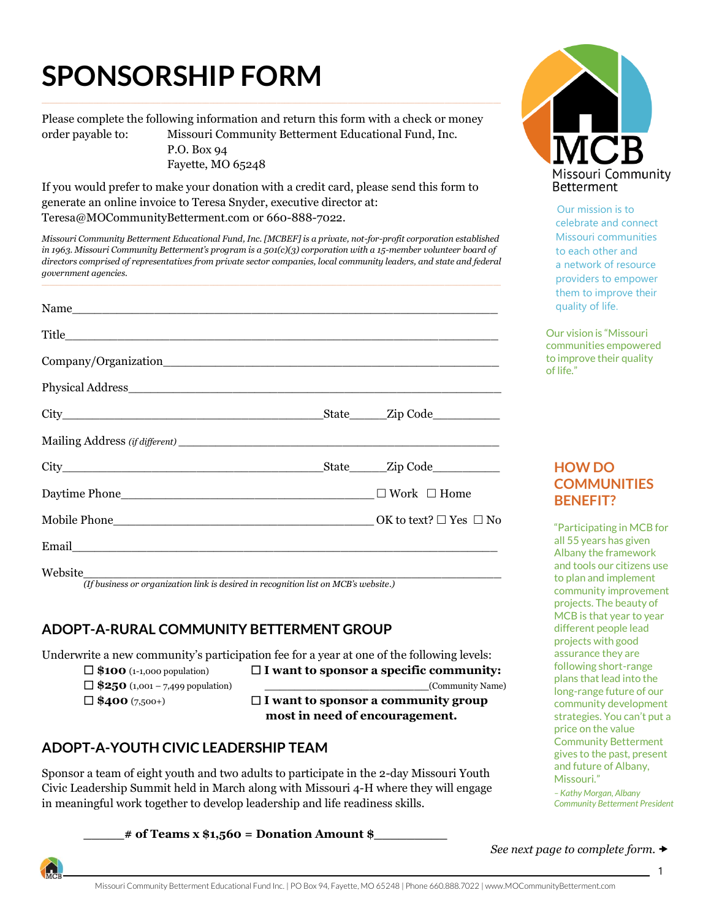# **SPONSORSHIP FORM**

Please complete the following information and return this form with a check or money order payable to: Missouri Community Betterment Educational Fund, Inc.

> P.O. Box 94 Fayette, MO 65248

If you would prefer to make your donation with a credit card, please send this form to generate an online invoice to Teresa Snyder, executive director at: Teresa@MOCommunityBetterment.com or 660-888-7022.

*Missouri Community Betterment Educational Fund, Inc. [MCBEF] is a private, not-for-profit corporation established in 1963. Missouri Community Betterment's program is a 501(c)(3) corporation with a 15-member volunteer board of directors comprised of representatives from private sector companies, local community leaders, and state and federal government agencies.*

| Name                                                                                                                                                                                                                                                                             |                                |
|----------------------------------------------------------------------------------------------------------------------------------------------------------------------------------------------------------------------------------------------------------------------------------|--------------------------------|
|                                                                                                                                                                                                                                                                                  |                                |
|                                                                                                                                                                                                                                                                                  |                                |
|                                                                                                                                                                                                                                                                                  |                                |
|                                                                                                                                                                                                                                                                                  |                                |
|                                                                                                                                                                                                                                                                                  |                                |
|                                                                                                                                                                                                                                                                                  | State______Zip Code___________ |
|                                                                                                                                                                                                                                                                                  |                                |
| Mobile Phone $\Box$ No $\Box$ No $\Box$ No $\Box$ No $\Box$ No $\Box$ No $\Box$ No $\Box$ No $\Box$ No $\Box$ No $\Box$ No $\Box$ No $\Box$ No $\Box$ No $\Box$ No $\Box$ No $\Box$ No $\Box$ No $\Box$ No $\Box$ No $\Box$ No $\Box$ No $\Box$ No $\Box$ No $\Box$ No $\Box$ No |                                |
|                                                                                                                                                                                                                                                                                  |                                |
|                                                                                                                                                                                                                                                                                  |                                |

 *(If business or organization link is desired in recognition list on MCB's website.)*

#### **ADOPT-A-RURAL COMMUNITY BETTERMENT GROUP**

Underwrite a new community's participation fee for a year at one of the following levels:

**\$100** (1-1,000 population) **I want to sponsor a specific community:**

 $\Box$  \$250 (1,001 – 7,499 population)  $\Box$  \$250 (Community Name) **\$400** (7,500+) **I want to sponsor a community group most in need of encouragement.**

### **ADOPT-A-YOUTH CIVIC LEADERSHIP TEAM**

Sponsor a team of eight youth and two adults to participate in the 2-day Missouri Youth Civic Leadership Summit held in March along with Missouri 4-H where they will engage in meaningful work together to develop leadership and life readiness skills.

 $\#$  of Teams x \$1,560 = Donation Amount \$



Our mission is to celebrate and connect Missouri communities to each other and a network of resource providers to empower them to improve their quality of life.

 Our vision is "Missouri communities empowered to improve their quality of life."

#### **HOW DO COMMUNITIES BENEFIT?**

"Participating in MCB for all 55 years has given Albany the framework and tools our citizens use to plan and implement community improvement projects. The beauty of MCB is that year to year different people lead projects with good assurance they are following short-range plans that lead into the long-range future of our community development strategies. You can't put a price on the value Community Betterment gives to the past, present and future of Albany, Missouri." *– Kathy Morgan, Albany* 

*Community Betterment President*

*See next page to complete form.*